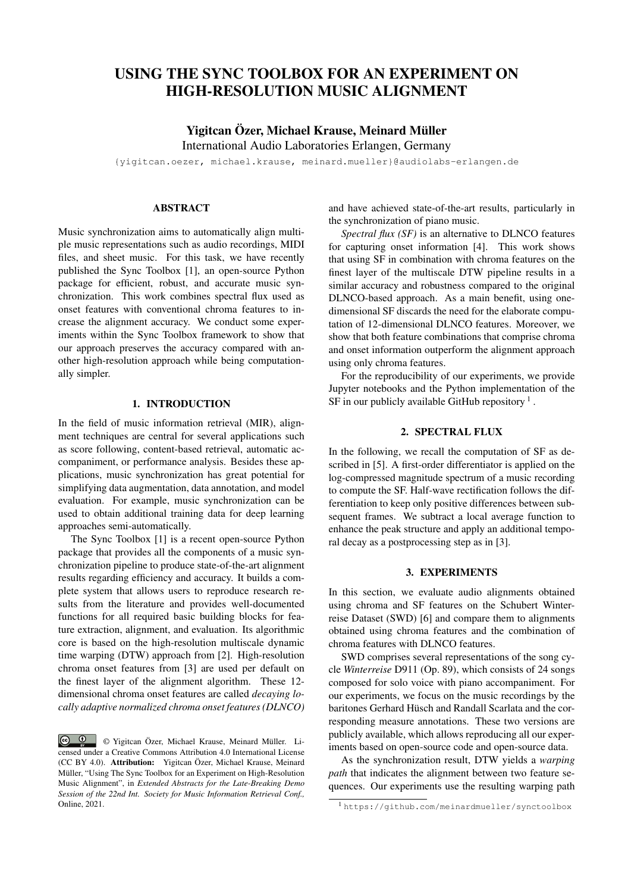# USING THE SYNC TOOLBOX FOR AN EXPERIMENT ON HIGH-RESOLUTION MUSIC ALIGNMENT

# Yigitcan Özer, Michael Krause, Meinard Müller International Audio Laboratories Erlangen, Germany

{yigitcan.oezer, michael.krause, meinard.mueller}@audiolabs-erlangen.de

#### ABSTRACT

Music synchronization aims to automatically align multiple music representations such as audio recordings, MIDI files, and sheet music. For this task, we have recently published the Sync Toolbox [1], an open-source Python package for efficient, robust, and accurate music synchronization. This work combines spectral flux used as onset features with conventional chroma features to increase the alignment accuracy. We conduct some experiments within the Sync Toolbox framework to show that our approach preserves the accuracy compared with another high-resolution approach while being computationally simpler.

## 1. INTRODUCTION

In the field of music information retrieval (MIR), alignment techniques are central for several applications such as score following, content-based retrieval, automatic accompaniment, or performance analysis. Besides these applications, music synchronization has great potential for simplifying data augmentation, data annotation, and model evaluation. For example, music synchronization can be used to obtain additional training data for deep learning approaches semi-automatically.

The Sync Toolbox [1] is a recent open-source Python package that provides all the components of a music synchronization pipeline to produce state-of-the-art alignment results regarding efficiency and accuracy. It builds a complete system that allows users to reproduce research results from the literature and provides well-documented functions for all required basic building blocks for feature extraction, alignment, and evaluation. Its algorithmic core is based on the high-resolution multiscale dynamic time warping (DTW) approach from [2]. High-resolution chroma onset features from [3] are used per default on the finest layer of the alignment algorithm. These 12 dimensional chroma onset features are called *decaying locally adaptive normalized chroma onset features (DLNCO)* and have achieved state-of-the-art results, particularly in the synchronization of piano music.

*Spectral flux (SF)* is an alternative to DLNCO features for capturing onset information [4]. This work shows that using SF in combination with chroma features on the finest layer of the multiscale DTW pipeline results in a similar accuracy and robustness compared to the original DLNCO-based approach. As a main benefit, using onedimensional SF discards the need for the elaborate computation of 12-dimensional DLNCO features. Moreover, we show that both feature combinations that comprise chroma and onset information outperform the alignment approach using only chroma features.

For the reproducibility of our experiments, we provide Jupyter notebooks and the Python implementation of the SF in our publicly available GitHub repository  $<sup>1</sup>$ .</sup>

#### 2. SPECTRAL FLUX

In the following, we recall the computation of SF as described in [5]. A first-order differentiator is applied on the log-compressed magnitude spectrum of a music recording to compute the SF. Half-wave rectification follows the differentiation to keep only positive differences between subsequent frames. We subtract a local average function to enhance the peak structure and apply an additional temporal decay as a postprocessing step as in [3].

## 3. EXPERIMENTS

In this section, we evaluate audio alignments obtained using chroma and SF features on the Schubert Winterreise Dataset (SWD) [6] and compare them to alignments obtained using chroma features and the combination of chroma features with DLNCO features.

SWD comprises several representations of the song cycle *Winterreise* D911 (Op. 89), which consists of 24 songs composed for solo voice with piano accompaniment. For our experiments, we focus on the music recordings by the baritones Gerhard Hüsch and Randall Scarlata and the corresponding measure annotations. These two versions are publicly available, which allows reproducing all our experiments based on open-source code and open-source data.

As the synchronization result, DTW yields a *warping path* that indicates the alignment between two feature sequences. Our experiments use the resulting warping path

<sup>©</sup> Yigitcan Özer, Michael Krause, Meinard Müller. Licensed under a Creative Commons Attribution 4.0 International License (CC BY 4.0). Attribution: Yigitcan Özer, Michael Krause, Meinard Müller, "Using The Sync Toolbox for an Experiment on High-Resolution Music Alignment", in *Extended Abstracts for the Late-Breaking Demo Session of the 22nd Int. Society for Music Information Retrieval Conf.,* Online, 2021.

<sup>1</sup> https://github.com/meinardmueller/synctoolbox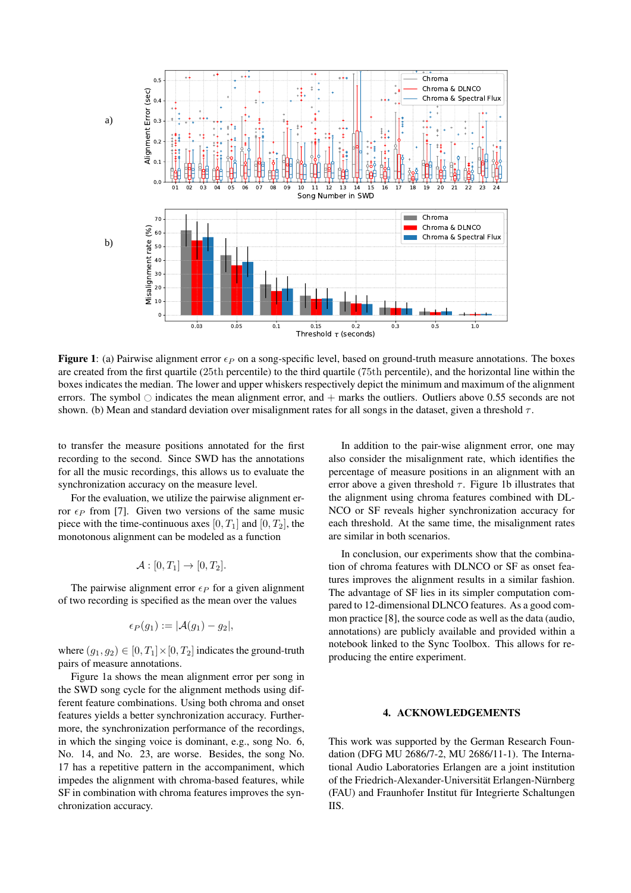

**Figure 1:** (a) Pairwise alignment error  $\epsilon_P$  on a song-specific level, based on ground-truth measure annotations. The boxes are created from the first quartile (25th percentile) to the third quartile (75th percentile), and the horizontal line within the boxes indicates the median. The lower and upper whiskers respectively depict the minimum and maximum of the alignment errors. The symbol  $\circ$  indicates the mean alignment error, and  $+$  marks the outliers. Outliers above 0.55 seconds are not shown. (b) Mean and standard deviation over misalignment rates for all songs in the dataset, given a threshold  $\tau$ .

to transfer the measure positions annotated for the first recording to the second. Since SWD has the annotations for all the music recordings, this allows us to evaluate the synchronization accuracy on the measure level.

For the evaluation, we utilize the pairwise alignment error  $\epsilon_P$  from [7]. Given two versions of the same music piece with the time-continuous axes [0,  $T_1$ ] and [0,  $T_2$ ], the monotonous alignment can be modeled as a function

$$
\mathcal{A} : [0, T_1] \to [0, T_2].
$$

The pairwise alignment error  $\epsilon_P$  for a given alignment of two recording is specified as the mean over the values

$$
\epsilon_P(g_1) := |\mathcal{A}(g_1) - g_2|,
$$

where  $(g_1, g_2) \in [0, T_1] \times [0, T_2]$  indicates the ground-truth pairs of measure annotations.

Figure 1a shows the mean alignment error per song in the SWD song cycle for the alignment methods using different feature combinations. Using both chroma and onset features yields a better synchronization accuracy. Furthermore, the synchronization performance of the recordings, in which the singing voice is dominant, e.g., song No. 6, No. 14, and No. 23, are worse. Besides, the song No. 17 has a repetitive pattern in the accompaniment, which impedes the alignment with chroma-based features, while SF in combination with chroma features improves the synchronization accuracy.

In addition to the pair-wise alignment error, one may also consider the misalignment rate, which identifies the percentage of measure positions in an alignment with an error above a given threshold  $\tau$ . Figure 1b illustrates that the alignment using chroma features combined with DL-NCO or SF reveals higher synchronization accuracy for each threshold. At the same time, the misalignment rates are similar in both scenarios.

In conclusion, our experiments show that the combination of chroma features with DLNCO or SF as onset features improves the alignment results in a similar fashion. The advantage of SF lies in its simpler computation compared to 12-dimensional DLNCO features. As a good common practice [8], the source code as well as the data (audio, annotations) are publicly available and provided within a notebook linked to the Sync Toolbox. This allows for reproducing the entire experiment.

## 4. ACKNOWLEDGEMENTS

This work was supported by the German Research Foundation (DFG MU 2686/7-2, MU 2686/11-1). The International Audio Laboratories Erlangen are a joint institution of the Friedrich-Alexander-Universität Erlangen-Nürnberg (FAU) and Fraunhofer Institut für Integrierte Schaltungen IIS.